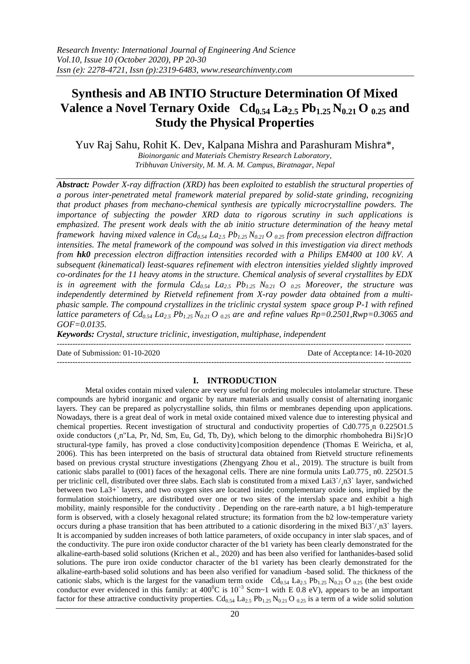# **Synthesis and AB INTIO Structure Determination Of Mixed Valence a Novel Ternary Oxide Cd0.54 La2.5 Pb1.25 N0.21 O 0.25 and Study the Physical Properties**

Yuv Raj Sahu, Rohit K. Dev, Kalpana Mishra and Parashuram Mishra\*,

*Bioinorganic and Materials Chemistry Research Laboratory, Tribhuvan University, M. M. A. M. Campus, Biratnagar, Nepal*

*Abstract: Powder X-ray diffraction (XRD) has been exploited to establish the structural properties of a porous inter-penetrated metal framework material prepared by solid-state grinding, recognizing that product phases from mechano-chemical synthesis are typically microcrystalline powders. The importance of subjecting the powder XRD data to rigorous scrutiny in such applications is emphasized. The present work deals with the ab initio structure determination of the heavy metal framework having mixed valence in Cd0.54 La2.5 Pb1.25 N0.21 O 0.25 from precession electron diffraction intensities. The metal framework of the compound was solved in this investigation via direct methods from hk0 precession electron diffraction intensities recorded with a Philips EM400 at 100 kV. A subsequent (kinematical) least-squares refinement with electron intensities yielded slightly improved co-ordinates for the 11 heavy atoms in the structure. Chemical analysis of several crystallites by EDX is in agreement with the formula Cd0.54 La2.5 Pb1.25 N0.21 O 0.25 Moreover, the structure was independently determined by Rietveld refinement from X-ray powder data obtained from a multiphasic sample. The compound crystallizes in the triclinic crystal system space group P-1 with refined lattice parameters of*  $Cd_{0.54}$  $La_{2.5}$  $Pb_{1.25}$  $N_{0.21}$  *O*  $_{0.25}$  *are and refine values*  $Rp=0.2501$ *,* $Rwp=0.3065$  *and GOF=0.0135.*

*Keywords: Crystal, structure triclinic, investigation, multiphase, independent*

 $-1.1$ 

Date of Submission: 01-10-2020 Date of Acceptance: 14-10-2020

---------------------------------------------------------------------------------------------------------------------------------------

# **I. INTRODUCTION**

Metal oxides contain mixed valence are very useful for ordering molecules intolamelar structure. These compounds are hybrid inorganic and organic by nature materials and usually consist of alternating inorganic layers. They can be prepared as polycrystalline solids, thin films or membranes depending upon applications. Nowadays, there is a great deal of work in metal oxide contained mixed valence due to interesting physical and chemical properties. Recent investigation of structural and conductivity properties of Cd0.775 n 0.225O1.5 oxide conductors ( $\pi$ "La, Pr, Nd, Sm, Eu, Gd, Tb, Dy), which belong to the dimorphic rhombohedra Bi}Sr}O structural-type family, has proved a close conductivity}composition dependence (Thomas E Weiricha, et al, 2006). This has been interpreted on the basis of structural data obtained from Rietveld structure refinements based on previous crystal structure investigations (Zhengyang Zhou et al., 2019). The structure is built from cationic slabs parallel to (001) faces of the hexagonal cells. There are nine formula units La0.775¸ n0. 225O1.5 per triclinic cell, distributed over three slabs. Each slab is constituted from a mixed Lai3`/¸n3` layer, sandwiched between two La3+` layers, and two oxygen sites are located inside; complementary oxide ions, implied by the formulation stoichiometry, are distributed over one or two sites of the interslab space and exhibit a high mobility, mainly responsible for the conductivity . Depending on the rare-earth nature, a b1 high-temperature form is observed, with a closely hexagonal related structure; its formation from the b2 low-temperature variety occurs during a phase transition that has been attributed to a cationic disordering in the mixed Bi3`/¸n3` layers. It is accompanied by sudden increases of both lattice parameters, of oxide occupancy in inter slab spaces, and of the conductivity. The pure iron oxide conductor character of the b1 variety has been clearly demonstrated for the alkaline-earth-based solid solutions (Krichen et al., 2020) and has been also verified for lanthanides-based solid solutions. The pure iron oxide conductor character of the b1 variety has been clearly demonstrated for the alkaline-earth-based solid solutions and has been also verified for vanadium -based solid. The thickness of the cationic slabs, which is the largest for the vanadium term oxide  $Cd_{0.54}$  La<sub>2.5</sub> Pb<sub>1.25</sub> N<sub>0.21</sub> O <sub>0.25</sub> (the best oxide conductor ever evidenced in this family: at  $400^{\circ}$ C is  $10^{-3}$  Scm~1 with E 0.8 eV), appears to be an important factor for these attractive conductivity properties.  $Cd_{0.54}$  La<sub>2.5</sub> Pb<sub>1.25</sub> N<sub>0.21</sub> O <sub>0.25</sub> is a term of a wide solid solution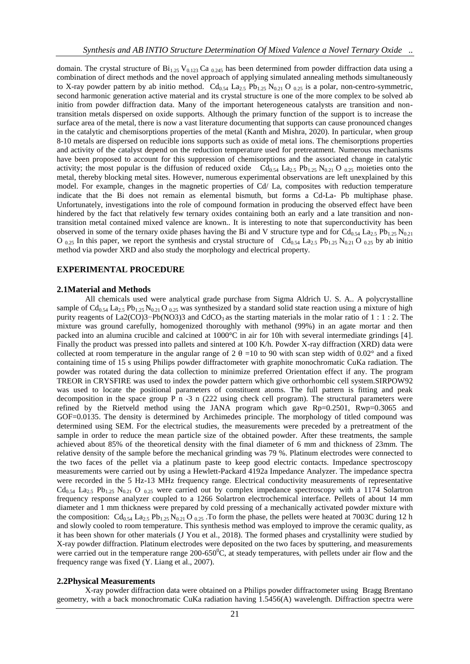domain. The crystal structure of  $Bi_{1.25}$  V<sub>0.123</sub> Ca <sub>0.245</sub> has been determined from powder diffraction data using a combination of direct methods and the novel approach of applying simulated annealing methods simultaneously to X-ray powder pattern by ab initio method. Cd<sub>0.54</sub> La<sub>2.5</sub> Pb<sub>1.25</sub> N<sub>0.21</sub> O <sub>0.25</sub> is a polar, non-centro-symmetric, second harmonic generation active material and its crystal structure is one of the more complex to be solved ab initio from powder diffraction data. Many of the important heterogeneous catalysts are transition and nontransition metals dispersed on oxide supports. Although the primary function of the support is to increase the surface area of the metal, there is now a vast literature documenting that supports can cause pronounced changes in the catalytic and chemisorptions properties of the metal (Kanth and Mishra, 2020). In particular, when group 8-10 metals are dispersed on reducible ions supports such as oxide of metal ions. The chemisorptions properties and activity of the catalyst depend on the reduction temperature used for pretreatment. Numerous mechanisms have been proposed to account for this suppression of chemisorptions and the associated change in catalytic activity; the most popular is the diffusion of reduced oxide  $Cd_{0.54}$  La<sub>2.5</sub> Pb<sub>1.25</sub> N<sub>0.21</sub> O <sub>0.25</sub> moieties onto the metal, thereby blocking metal sites. However, numerous experimental observations are left unexplained by this model. For example, changes in the magnetic properties of Cd/ La, composites with reduction temperature indicate that the Bi does not remain as elemental bismuth, but forms a Cd-La- Pb multiphase phase. Unfortunately, investigations into the role of compound formation in producing the observed effect have been hindered by the fact that relatively few ternary oxides containing both an early and a late transition and nontransition metal contained mixed valence are known.. It is interesting to note that superconductivity has been observed in some of the ternary oxide phases having the Bi and V structure type and for  $Cd_{0.54}$  La<sub>2.5</sub> Pb<sub>1.25</sub> N<sub>0.21</sub> O  $_{0.25}$  In this paper, we report the synthesis and crystal structure of Cd<sub>0.54</sub> La<sub>2.5</sub> Pb<sub>1.25</sub> N<sub>0.21</sub> O <sub>0.25</sub> by ab initio method via powder XRD and also study the morphology and electrical property.

#### **EXPERIMENTAL PROCEDURE**

#### **2.1Material and Methods**

All chemicals used were analytical grade purchase from Sigma Aldrich U. S. A.. A polycrystalline sample of  $Cd_{0.54}$  La<sub>2.5</sub> Pb<sub>1.25</sub> N<sub>0.21</sub> O <sub>0.25</sub> was synthesized by a standard solid state reaction using a mixture of high purity reagents of La2(CO)3−Pb(NO3)3 and CdCO<sub>3</sub> as the starting materials in the molar ratio of 1 : 1 : 2. The mixture was ground carefully, homogenized thoroughly with methanol (99%) in an agate mortar and then packed into an alumina crucible and calcined at 1000°C in air for 10h with several intermediate grindings [4]. Finally the product was pressed into pallets and sintered at 100 K/h. Powder X-ray diffraction (XRD) data were collected at room temperature in the angular range of 2  $\theta$  =10 to 90 with scan step width of 0.02° and a fixed containing time of 15 s using Philips powder diffractometer with graphite monochromatic CuKa radiation. The powder was rotated during the data collection to minimize preferred Orientation effect if any. The program TREOR in CRYSFIRE was used to index the powder pattern which give orthorhombic cell system.SIRPOW92 was used to locate the positional parameters of constituent atoms. The full pattern is fitting and peak decomposition in the space group P n -3 n (222 using check cell program). The structural parameters were refined by the Rietveld method using the JANA program which gave Rp=0.2501, Rwp=0.3065 and GOF=0.0135. The density is determined by Archimedes principle. The morphology of titled compound was determined using SEM. For the electrical studies, the measurements were preceded by a pretreatment of the sample in order to reduce the mean particle size of the obtained powder. After these treatments, the sample achieved about 85% of the theoretical density with the final diameter of 6 mm and thickness of 23mm. The relative density of the sample before the mechanical grinding was 79 %. Platinum electrodes were connected to the two faces of the pellet via a platinum paste to keep good electric contacts. Impedance spectroscopy measurements were carried out by using a Hewlett-Packard 4192a Impedance Analyzer. The impedance spectra were recorded in the 5 Hz-13 MHz frequency range. Electrical conductivity measurements of representative  $Cd_{0.54}$  La<sub>2.5</sub> Pb<sub>1.25</sub> N<sub>0.21</sub> O <sub>0.25</sub> were carried out by complex impedance spectroscopy with a 1174 Solartron frequency response analyzer coupled to a 1266 Solartron electrochemical interface. Pellets of about 14 mm diameter and 1 mm thickness were prepared by cold pressing of a mechanically activated powder mixture with the composition:  $Cd_{0.54}$  La<sub>2.5</sub> Pb<sub>1.25</sub> N<sub>0.21</sub> O <sub>0.25</sub>. To form the phase, the pellets were heated at 7003C during 12 h and slowly cooled to room temperature. This synthesis method was employed to improve the ceramic quality, as it has been shown for other materials (J You et al., 2018). The formed phases and crystallinity were studied by X-ray powder diffraction. Platinum electrodes were deposited on the two faces by sputtering, and measurements were carried out in the temperature range  $200-650^0C$ , at steady temperatures, with pellets under air flow and the frequency range was fixed (Y. Liang et al., 2007).

## **2.2Physical Measurements**

X-ray powder diffraction data were obtained on a Philips powder diffractometer using Bragg Brentano geometry, with a back monochromatic CuKa radiation having 1.5456(A) wavelength. Diffraction spectra were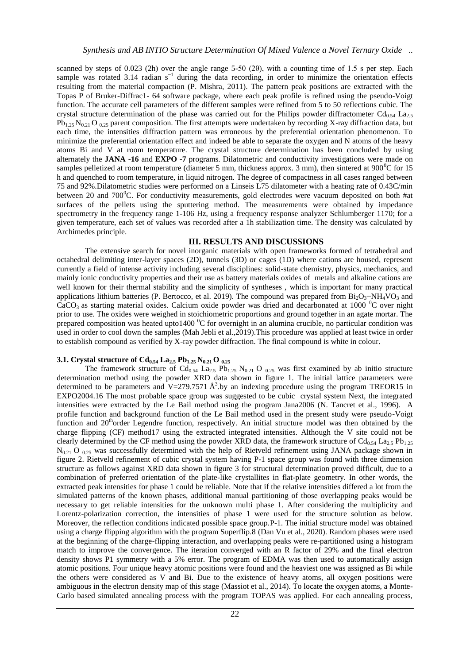scanned by steps of 0.023 (2h) over the angle range 5-50 (2θ), with a counting time of 1.5 s per step. Each sample was rotated 3.14 radian  $s^{-1}$  during the data recording, in order to minimize the orientation effects resulting from the material compaction (P. Mishra, 2011). The pattern peak positions are extracted with the Topas P of Bruker-Diffrac1- 64 software package, where each peak profile is refined using the pseudo-Voigt function. The accurate cell parameters of the different samples were refined from 5 to 50 reflections cubic. The crystal structure determination of the phase was carried out for the Philips powder diffractometer  $Cd_{0.54}$  La<sub>2.5</sub>  $Pb_{1,25}N_{0,21}$  O  $_{0,25}$  parent composition. The first attempts were undertaken by recording X-ray diffraction data, but each time, the intensities diffraction pattern was erroneous by the preferential orientation phenomenon. To minimize the preferential orientation effect and indeed be able to separate the oxygen and N atoms of the heavy atoms Bi and V at room temperature. The crystal structure determination has been concluded by using alternately the **JANA -16** and **EXPO -7** programs. Dilatometric and conductivity investigations were made on samples pelletized at room temperature (diameter 5 mm, thickness approx. 3 mm), then sintered at 900<sup>°</sup>C for 15 h and quenched to room temperature, in liquid nitrogen. The degree of compactness in all cases ranged between 75 and 92%.Dilatometric studies were performed on a Linseis L75 dilatometer with a heating rate of 0.43C/min between 20 and 700 $^0$ C. For conductivity measurements, gold electrodes were vacuum deposited on both #at surfaces of the pellets using the sputtering method. The measurements were obtained by impedance spectrometry in the frequency range 1-106 Hz, using a frequency response analyzer Schlumberger 1170; for a given temperature, each set of values was recorded after a 1h stabilization time. The density was calculated by Archimedes principle.

#### **III. RESULTS AND DISCUSSIONS**

The extensive search for novel inorganic materials with open frameworks formed of tetrahedral and octahedral delimiting inter-layer spaces (2D), tunnels (3D) or cages (1D) where cations are housed, represent currently a field of intense activity including several disciplines: solid-state chemistry, physics, mechanics, and mainly ionic conductivity properties and their use as battery materials oxides of metals and alkaline cations are well known for their thermal stability and the simplicity of syntheses , which is important for many practical applications lithium batteries (P. Bertocco, et al. 2019). The compound was prepared from  $Bi_2O_3-NH_4VO_3$  and  $CaCO<sub>3</sub>$  as starting material oxides. Calcium oxide powder was dried and decarbonated at 1000 <sup>o</sup>C over night prior to use. The oxides were weighed in stoichiometric proportions and ground together in an agate mortar. The prepared composition was heated upto1400  $\rm{^0C}$  for overnight in an alumina crucible, no particular condition was used in order to cool down the samples (Mah Jebli et al.,2019).This procedure was applied at least twice in order to establish compound as verified by X-ray powder diffraction. The final compound is white in colour.

# **3.1. Crystal structure of Cd0.54 La2.5 Pb1.25 N0.21 O 0.25**

The framework structure of  $Cd_{0.54}$  La<sub>2.5</sub> Pb<sub>1.25</sub> N<sub>0.21</sub> O <sub>0.25</sub> was first examined by ab initio structure determination method using the powder XRD data shown in figure 1. The initial lattice parameters were determined to be parameters and  $V=279.7571 \text{ Å}^3$  by an indexing procedure using the program TREOR15 in EXPO2004.16 The most probable space group was suggested to be cubic crystal system Next, the integrated intensities were extracted by the Le Bail method using the program Jana2006 (N. Tancret et al., 1996). A profile function and background function of the Le Bail method used in the present study were pseudo-Voigt function and  $20<sup>th</sup>$  order Legendre function, respectively. An initial structure model was then obtained by the charge flipping (CF) method17 using the extracted integrated intensities. Although the V site could not be clearly determined by the CF method using the powder XRD data, the framework structure of  $Cd_{0.54}$  La<sub>2.5</sub> Pb<sub>1.25</sub>  $N_{0.21}$  O  $_{0.25}$  was successfully determined with the help of Rietveld refinement using JANA package shown in figure 2. Rietveld refinement of cubic crystal system having P-1 space group was found with three dimension structure as follows against XRD data shown in figure 3 for structural determination proved difficult, due to a combination of preferred orientation of the plate-like crystallites in flat-plate geometry. In other words, the extracted peak intensities for phase 1 could be reliable. Note that if the relative intensities differed a lot from the simulated patterns of the known phases, additional manual partitioning of those overlapping peaks would be necessary to get reliable intensities for the unknown multi phase 1. After considering the multiplicity and Lorentz-polarization correction, the intensities of phase 1 were used for the structure solution as below. Moreover, the reflection conditions indicated possible space group.P-1. The initial structure model was obtained using a charge flipping algorithm with the program Superflip.8 (Dan Vu et al., 2020). Random phases were used at the beginning of the charge-flipping interaction, and overlapping peaks were re-partitioned using a histogram match to improve the convergence. The iteration converged with an R factor of 29% and the final electron density shows P1 symmetry with a 5% error. The program of EDMA was then used to automatically assign atomic positions. Four unique heavy atomic positions were found and the heaviest one was assigned as Bi while the others were considered as V and Bi. Due to the existence of heavy atoms, all oxygen positions were ambiguous in the electron density map of this stage (Massiot et al., 2014). To locate the oxygen atoms, a Monte-Carlo based simulated annealing process with the program TOPAS was applied. For each annealing process,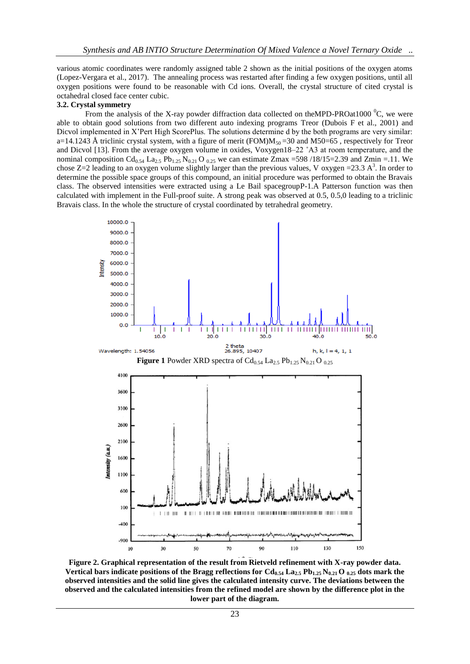various atomic coordinates were randomly assigned table 2 shown as the initial positions of the oxygen atoms (Lopez-Vergara et al., 2017). The annealing process was restarted after finding a few oxygen positions, until all oxygen positions were found to be reasonable with Cd ions. Overall, the crystal structure of cited crystal is octahedral closed face center cubic.

#### **3.2. Crystal symmetry**

From the analysis of the X-ray powder diffraction data collected on theMPD-PROat1000  $\rm{^0C}$ , we were able to obtain good solutions from two different auto indexing programs Treor (Dubois F et al., 2001) and Dicvol implemented in X'Pert High ScorePlus. The solutions determine d by the both programs are very similar: a=14.1243 Å triclinic crystal system, with a figure of merit (FOM) $M_{50}$ =30 and M50=65, respectively for Treor and Dicvol [13]. From the average oxygen volume in oxides, Voxygen18–22 ˚A3 at room temperature, and the nominal composition Cd<sub>0.54</sub> La<sub>2.5</sub> Pb<sub>1.25</sub> N<sub>0.21</sub> O <sub>0.25</sub> we can estimate Zmax =598 /18/15=2.39 and Zmin =.11. We chose  $Z=2$  leading to an oxygen volume slightly larger than the previous values, V oxygen = 23.3 A<sup>3</sup>. In order to determine the possible space groups of this compound, an initial procedure was performed to obtain the Bravais class. The observed intensities were extracted using a Le Bail spacegroupP-1.A Patterson function was then calculated with implement in the Full-proof suite. A strong peak was observed at 0.5, 0.5,0 leading to a triclinic Bravais class. In the whole the structure of crystal coordinated by tetrahedral geometry.



**Figure 2. Graphical representation of the result from Rietveld refinement with X-ray powder data.**  Vertical bars indicate positions of the Bragg reflections for  $Cd_{0.54}$   $La_{2.5}$   $Pb_{1.25}$   $N_{0.21}$   $O_{0.25}$  dots mark the **observed intensities and the solid line gives the calculated intensity curve. The deviations between the observed and the calculated intensities from the refined model are shown by the difference plot in the lower part of the diagram.**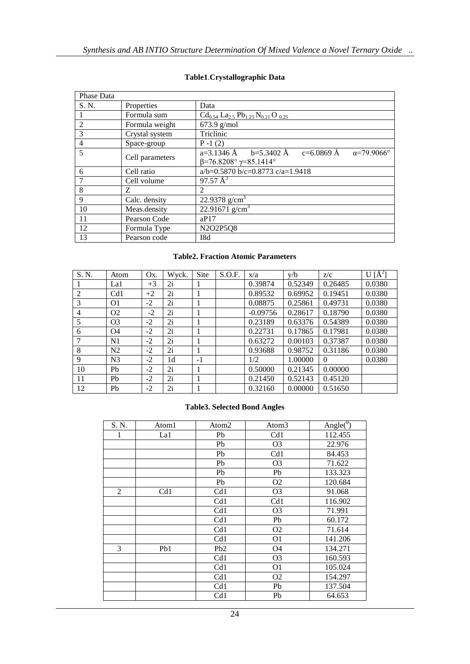| Phase Data     |                 |                                                                                                           |  |  |  |  |  |
|----------------|-----------------|-----------------------------------------------------------------------------------------------------------|--|--|--|--|--|
| S. N.          | Properties      | Data                                                                                                      |  |  |  |  |  |
|                | Formula sum     | $Cd_{0.54}$ La <sub>2.5</sub> Pb <sub>1.25</sub> N <sub>0.21</sub> O <sub>0.25</sub>                      |  |  |  |  |  |
| 2              | Formula weight  | $673.9$ g/mol                                                                                             |  |  |  |  |  |
| 3              | Crystal system  | Triclinic                                                                                                 |  |  |  |  |  |
| $\overline{4}$ | Space-group     | $P - 1(2)$                                                                                                |  |  |  |  |  |
| 5              | Cell parameters | a=3.1346 Å b=5.3402 Å c=6.0869 Å $\alpha$ =79.9066°<br>$\beta = 76.8208^{\circ} \gamma = 85.1414^{\circ}$ |  |  |  |  |  |
| 6              | Cell ratio      | a/b=0.5870 b/c=0.8773 c/a=1.9418                                                                          |  |  |  |  |  |
|                | Cell volume     | $97.57 \, \text{\AA}^3$                                                                                   |  |  |  |  |  |
| 8              | Z               | $\mathfrak{D}$                                                                                            |  |  |  |  |  |
| 9              | Calc. density   | 22.9378 $g/cm3$                                                                                           |  |  |  |  |  |
| 10             | Meas.density    | 22.91671 g/cm <sup>3</sup>                                                                                |  |  |  |  |  |
| 11             | Pearson Code    | aP17                                                                                                      |  |  |  |  |  |
| 12             | Formula Type    | N2O2P5Q8                                                                                                  |  |  |  |  |  |
| 13             | Pearson code    | I8d                                                                                                       |  |  |  |  |  |

# **Table1**.**Crystallographic Data**

# **Table2. Fraction Atomic Parameters**

| S. N.          | Atom           | Ox.  | Wyck. | Site | S.O.F. | x/a        | y/b     | z/c      | $U[\AA^2]$ |
|----------------|----------------|------|-------|------|--------|------------|---------|----------|------------|
|                | La1            | $+3$ | 2i    |      |        | 0.39874    | 0.52349 | 0.26485  | 0.0380     |
| 2              | Cd1            | $+2$ | 2i    |      |        | 0.89532    | 0.69952 | 0.19451  | 0.0380     |
| 3              | O <sub>1</sub> | $-2$ | 2i    |      |        | 0.08875    | 0.25861 | 0.49731  | 0.0380     |
| $\overline{4}$ | O <sub>2</sub> | $-2$ | 2i    |      |        | $-0.09756$ | 0.28617 | 0.18790  | 0.0380     |
| 5              | O <sub>3</sub> | $-2$ | 2i    |      |        | 0.23189    | 0.63376 | 0.54389  | 0.0380     |
| 6              | O4             | $-2$ | 2i    |      |        | 0.22731    | 0.17865 | 0.17981  | 0.0380     |
|                | N1             | $-2$ | 2i    |      |        | 0.63272    | 0.00103 | 0.37387  | 0.0380     |
| 8              | N <sub>2</sub> | $-2$ | 2i    |      |        | 0.93688    | 0.98752 | 0.31186  | 0.0380     |
| 9              | N <sub>3</sub> | $-2$ | 1d    | $-1$ |        | 1/2        | 1.00000 | $\Omega$ | 0.0380     |
| 10             | Pb             | $-2$ | 2i    |      |        | 0.50000    | 0.21345 | 0.00000  |            |
| 11             | Pb             | $-2$ | 2i    |      |        | 0.21450    | 0.52143 | 0.45120  |            |
| 12             | Pb             | $-2$ | 2i    |      |        | 0.32160    | 0.00000 | 0.51650  |            |

# **Table3. Selected Bond Angles**

| S. N. | Atom1 | Atom2           | Atom <sub>3</sub> | Angle( $\overline{0}$ ) |
|-------|-------|-----------------|-------------------|-------------------------|
| 1     | La1   | Pb              | Cd1               | 112.455                 |
|       |       | Pb              | O <sub>3</sub>    | 22.976                  |
|       |       | Pb              | Cd1               | 84.453                  |
|       |       | Pb              | O <sub>3</sub>    | 71.622                  |
|       |       | Pb              | Pb                | 133.323                 |
|       |       | Pb              | O <sub>2</sub>    | 120.684                 |
| 2     | Cd1   | Cd1             | O <sub>3</sub>    | 91.068                  |
|       |       | Cd1             | Cd1               | 116.902                 |
|       |       | Cd1             | O <sub>3</sub>    | 71.991                  |
|       |       | Cd1             | Pb                | 60.172                  |
|       |       | Cd1             | O <sub>2</sub>    | 71.614                  |
|       |       | Cd1             | O <sub>1</sub>    | 141.206                 |
| 3     | Pb1   | Pb <sub>2</sub> | O4                | 134.271                 |
|       |       | Cd1             | O <sub>3</sub>    | 160.593                 |
|       |       | Cd1             | O <sub>1</sub>    | 105.024                 |
|       |       | Cd1             | O <sub>2</sub>    | 154.297                 |
|       |       | Cd1             | Pb                | 137.504                 |
|       |       | Cd1             | Pb                | 64.653                  |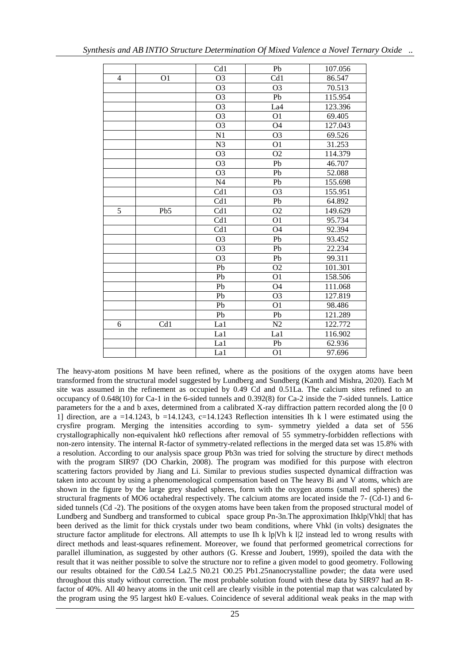|                |                | Cd1             | Pb              | 107.056 |
|----------------|----------------|-----------------|-----------------|---------|
| $\overline{4}$ | O <sub>1</sub> | $\overline{O3}$ | Cd1             | 86.547  |
|                |                | O <sub>3</sub>  | O <sub>3</sub>  | 70.513  |
|                |                | O <sub>3</sub>  | Pb              | 115.954 |
|                |                | O <sub>3</sub>  | La4             | 123.396 |
|                |                | O <sub>3</sub>  | O <sub>1</sub>  | 69.405  |
|                |                | O <sub>3</sub>  | O <sub>4</sub>  | 127.043 |
|                |                | N <sub>1</sub>  | O <sub>3</sub>  | 69.526  |
|                |                | N <sub>3</sub>  | O <sub>1</sub>  | 31.253  |
|                |                | O <sub>3</sub>  | O <sub>2</sub>  | 114.379 |
|                |                | $\overline{O3}$ | Pb              | 46.707  |
|                |                | $\overline{O3}$ | Pb              | 52.088  |
|                |                | N <sub>4</sub>  | Pb              | 155.698 |
|                |                | Cd1             | $\overline{O3}$ | 155.951 |
|                |                | Cd1             | Pb              | 64.892  |
| 5              | Pb5            | Cd1             | O <sub>2</sub>  | 149.629 |
|                |                | Cd1             | O <sub>1</sub>  | 95.734  |
|                |                | Cd1             | O4              | 92.394  |
|                |                | O <sub>3</sub>  | Pb              | 93.452  |
|                |                | O <sub>3</sub>  | Pb              | 22.234  |
|                |                | $\overline{O3}$ | Pb              | 99.311  |
|                |                | Pb              | O <sub>2</sub>  | 101.301 |
|                |                | Pb              | O <sub>1</sub>  | 158.506 |
|                |                | Pb              | O <sub>4</sub>  | 111.068 |
|                |                | Pb              | O <sub>3</sub>  | 127.819 |
|                |                | Pb              | O <sub>1</sub>  | 98.486  |
|                |                | P <sub>b</sub>  | Pb              | 121.289 |
| 6              | Cd1            | La1             | N2              | 122.772 |
|                |                | La1             | La1             | 116.902 |
|                |                | La1             | Pb              | 62.936  |
|                |                | La1             | O <sub>1</sub>  | 97.696  |

The heavy-atom positions M have been refined, where as the positions of the oxygen atoms have been transformed from the structural model suggested by Lundberg and Sundberg (Kanth and Mishra, 2020). Each M site was assumed in the refinement as occupied by 0.49 Cd and 0.51La. The calcium sites refined to an occupancy of 0.648(10) for Ca-1 in the 6-sided tunnels and 0.392(8) for Ca-2 inside the 7-sided tunnels. Lattice parameters for the a and b axes, determined from a calibrated X-ray diffraction pattern recorded along the [0 0 1] direction, are a =14.1243, b =14.1243, c=14.1243 Reflection intensities Ih k 1 were estimated using the crysfire program. Merging the intensities according to sym- symmetry yielded a data set of 556 crystallographically non-equivalent hk0 reflections after removal of 55 symmetry-forbidden reflections with non-zero intensity. The internal R-factor of symmetry-related reflections in the merged data set was 15.8% with a resolution. According to our analysis space group Pb3n was tried for solving the structure by direct methods with the program SIR97 (DO Charkin, 2008). The program was modified for this purpose with electron scattering factors provided by Jiang and Li. Similar to previous studies suspected dynamical diffraction was taken into account by using a phenomenological compensation based on The heavy Bi and V atoms, which are shown in the figure by the large grey shaded spheres, form with the oxygen atoms (small red spheres) the structural fragments of MO6 octahedral respectively. The calcium atoms are located inside the 7- (Cd-1) and 6 sided tunnels (Cd -2). The positions of the oxygen atoms have been taken from the proposed structural model of Lundberg and Sundberg and transformed to cubical space group Pn-3n.The approximation Ihklp|Vhkl| that has been derived as the limit for thick crystals under two beam conditions, where Vhkl (in volts) designates the structure factor amplitude for electrons. All attempts to use Ih k lp|Vh k l|2 instead led to wrong results with direct methods and least-squares refinement. Moreover, we found that performed geometrical corrections for parallel illumination, as suggested by other authors (G. Kresse and Joubert, 1999), spoiled the data with the result that it was neither possible to solve the structure nor to refine a given model to good geometry. Following our results obtained for the Cd0.54 La2.5 N0.21 O0.25 Pb1.25nanocrystalline powder; the data were used throughout this study without correction. The most probable solution found with these data by SIR97 had an Rfactor of 40%. All 40 heavy atoms in the unit cell are clearly visible in the potential map that was calculated by the program using the 95 largest hk0 E-values. Coincidence of several additional weak peaks in the map with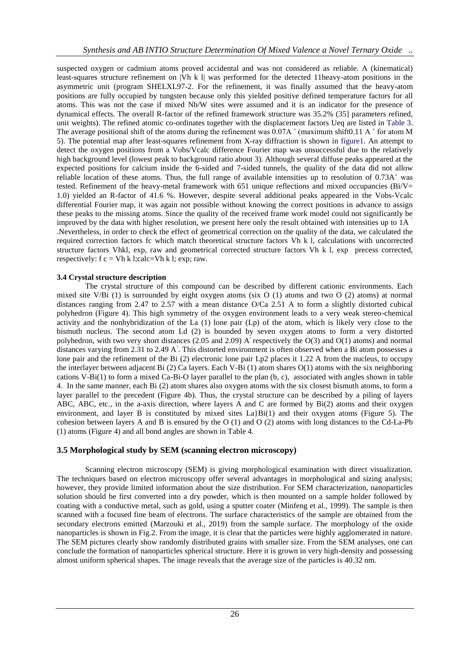suspected oxygen or cadmium atoms proved accidental and was not considered as reliable. A (kinematical) least-squares structure refinement on |Vh k l| was performed for the detected 11heavy-atom positions in the asymmetric unit (program SHELXL97-2. For the refinement, it was finally assumed that the heavy-atom positions are fully occupied by tungsten because only this yielded positive defined temperature factors for all atoms. This was not the case if mixed Nb/W sites were assumed and it is an indicator for the presence of dynamical effects. The overall R-factor of the refined framework structure was 35.2% (35] parameters refined, unit weights). The refined atomic co-ordinates together with the displacement factors Ueq are listed in Table 3. The average positional shift of the atoms during the refinement was 0.07A  $\degree$  (maximum shift0.11 A  $\degree$  for atom M 5). The potential map after least-squares refinement from X-ray diffraction is shown in figure1. An attempt to detect the oxygen positions from a Vobs/Vcalc difference Fourier map was unsuccessful due to the relatively high background level (lowest peak to background ratio about 3). Although several diffuse peaks appeared at the expected positions for calcium inside the 6-sided and 7-sided tunnels, the quality of the data did not allow reliable location of these atoms. Thus, the full range of available intensities up to resolution of 0.73A˚ was tested. Refinement of the heavy-metal framework with 651 unique reflections and mixed occupancies (Bi/V= 1.0) yielded an R-factor of 41.6 %. However, despite several additional peaks appeared in the Vobs-Vcalc differential Fourier map, it was again not possible without knowing the correct positions in advance to assign these peaks to the missing atoms. Since the quality of the received frame work model could not significantly be improved by the data with higher resolution, we present here only the result obtained with intensities up to 1A .Nevertheless, in order to check the effect of geometrical correction on the quality of the data, we calculated the required correction factors fc which match theoretical structure factors Vh k l, calculations with uncorrected structure factors Vhkl, exp, raw and geometrical corrected structure factors Vh k l, exp precess corrected, respectively:  $f c = V h k$  l;calc=Vh k l; exp; raw.

## **3.4 Crystal structure description**

The crystal structure of this compound can be described by different cationic environments. Each mixed site V/Bi (1) is surrounded by eight oxygen atoms (six O (1) atoms and two O (2) atoms) at normal distances ranging from 2.47 to 2.57 with a mean distance O/Ca 2.51 A to form a slightly distorted cubical polyhedron (Figure 4). This high symmetry of the oxygen environment leads to a very weak stereo-chemical activity and the nonhybridization of the La (1) lone pair (Lp) of the atom, which is likely very close to the bismuth nucleus. The second atom Ld (2) is bounded by seven oxygen atoms to form a very distorted polyhedron, with two very short distances (2.05 and 2.09)  $A^{\circ}$  respectively the O(3) and O(1) atoms) and normal distances varying from 2.31 to 2.49 A◦ . This distorted environment is often observed when a Bi atom possesses a lone pair and the refinement of the Bi (2) electronic lone pair Lp2 places it 1.22 A from the nucleus, to occupy the interlayer between adjacent Bi (2) Ca layers. Each V-Bi (1) atom shares O(1) atoms with the six neighboring cations V-Bi(1) to form a mixed Ca-Bi-O layer parallel to the plan (b, c), associated with angles shown in table 4. In the same manner, each Bi (2) atom shares also oxygen atoms with the six closest bismuth atoms, to form a layer parallel to the precedent (Figure 4b). Thus, the crystal structure can be described by a piling of layers ABC, ABC, etc., in the a-axis direction, where layers A and C are formed by Bi(2) atoms and their oxygen environment, and layer B is constituted by mixed sites  $La\}Bi(1)$  and their oxygen atoms (Figure 5). The cohesion between layers A and B is ensured by the O (1) and O (2) atoms with long distances to the Cd-La-Pb (1) atoms (Figure 4) and all bond angles are shown in Table 4.

# **3.5 Morphological study by SEM (scanning electron microscopy)**

Scanning electron microscopy (SEM) is giving morphological examination with direct visualization. The techniques based on electron microscopy offer several advantages in morphological and sizing analysis; however, they provide limited information about the size distribution. For SEM characterization, nanoparticles solution should be first converted into a dry powder, which is then mounted on a sample holder followed by coating with a conductive metal, such as gold, using a sputter coater (Minfeng et al., 1999). The sample is then scanned with a focused fine beam of electrons. The surface characteristics of the sample are obtained from the secondary electrons emitted (Marzouki et al., 2019) from the sample surface. The morphology of the oxide nanoparticles is shown in Fig.2. From the image, it is clear that the particles were highly agglomerated in nature. The SEM pictures clearly show randomly distributed grains with smaller size. From the SEM analyses, one can conclude the formation of nanoparticles spherical structure. Here it is grown in very high-density and possessing almost uniform spherical shapes. The image reveals that the average size of the particles is 40.32 nm.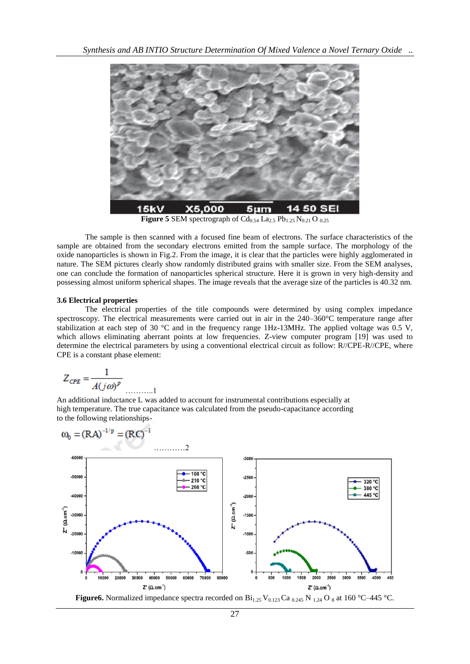

**Figure 5** SEM spectrograph of  $Cd_{0.54}$  La<sub>2.5</sub> Pb<sub>1.25</sub> N<sub>0.21</sub> O <sub>0.25</sub>

The sample is then scanned with a focused fine beam of electrons. The surface characteristics of the sample are obtained from the secondary electrons emitted from the sample surface. The morphology of the oxide nanoparticles is shown in Fig.2. From the image, it is clear that the particles were highly agglomerated in nature. The SEM pictures clearly show randomly distributed grains with smaller size. From the SEM analyses, one can conclude the formation of nanoparticles spherical structure. Here it is grown in very high-density and possessing almost uniform spherical shapes. The image reveals that the average size of the particles is 40.32 nm.

#### **3.6 Electrical properties**

The electrical properties of the title compounds were determined by using complex impedance spectroscopy. The electrical measurements were carried out in air in the 240–360°C temperature range after stabilization at each step of 30 °C and in the frequency range 1Hz-13MHz. The applied voltage was 0.5 V, which allows eliminating aberrant points at low frequencies. Z-view computer program [19] was used to determine the electrical parameters by using a conventional electrical circuit as follow: R//CPE-R//CPE, where CPE is a constant phase element:

$$
Z_{CPE} = \frac{1}{A(j\omega)^p}
$$

An additional inductance L was added to account for instrumental contributions especially at high temperature. The true capacitance was calculated from the pseudo-capacitance according to the following relationships-

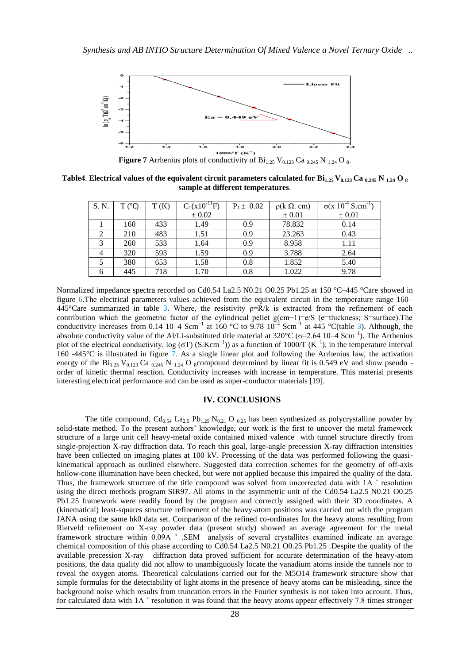

**Figure 7** Arrhenius plots of conductivity of  $Bi_{1.25}$  V<sub>0.123</sub> Ca <sub>0.245</sub> N <sub>1.24</sub> O <sub>8</sub>.

**Table4**. **Electrical values of the equivalent circuit parameters calculated for**  $Bi_{1.25}V_{0.123}Ca_{0.245}N_{1.24}O_8$ **sample at different temperatures**.

| S. N.          | T (°C) | T(K) | $C_1(x10^{-11}F)$ | $P_1 \pm 0.02$ | $\rho(k \Omega, cm)$ | $\sigma(x\ 10^{-4} \text{ S.cm}^{-1})$ |
|----------------|--------|------|-------------------|----------------|----------------------|----------------------------------------|
|                |        |      | ± 0.02            |                | $\pm 0.01$           | $\pm 0.01$                             |
|                | 160    | 433  | 1.49              | 0.9            | 78.832               | 0.14                                   |
| 2              | 210    | 483  | 1.51              | 0.9            | 23.263               | 0.43                                   |
| 3              | 260    | 533  | 1.64              | 0.9            | 8.958                | 1.11                                   |
| $\overline{4}$ | 320    | 593  | 1.59              | 0.9            | 3.788                | 2.64                                   |
|                | 380    | 653  | 1.58              | 0.8            | 1.852                | 5.40                                   |
| 6              | 445    | 718  | 1.70              | 0.8            | 1.022                | 9.78                                   |

Normalized impedance spectra recorded on Cd0.54 La2.5 N0.21 O0.25 Pb1.25 at 150 °C–445 °Care showed in figure 6.The electrical parameters values achieved from the equivalent circuit in the temperature range 160–  $445^{\circ}$ Care summarized in table 3. Where, the resistivity  $\rho=R/k$  is extracted from the refinement of each contribution which the geometric factor of the cylindrical pellet g(cm−1)=e/S (e=thickness; S=surface).The conductivity increases from 0.14 10–4 Scm<sup>-1</sup> at 160 °C to 9.78  $10^{-4}$  Scm<sup>-1</sup> at 445 °C(table 3). Although, the absolute conductivity value of the Al/Li-substituted title material at  $320^{\circ}$ C ( $\sigma$ =2.64 10–4 Scm<sup>-1</sup>). The Arrhenius plot of the electrical conductivity, log (σT) (S.Kcm<sup>-1</sup>)) as a function of 1000/T (K<sup>-1</sup>), in the temperature interval 160 -445°C is illustrated in figure 7. As a single linear plot and following the Arrhenius law, the activation energy of the  $Bi_{1.25}$  V<sub>0.123</sub> Ca <sub>0.245</sub> N <sub>1.24</sub> O <sub>8</sub>compound determined by linear fit is 0.549 eV and show pseudo order of kinetic thermal reaction. Conductivity increases with increase in temperature. This material presents interesting electrical performance and can be used as super-conductor materials [19].

## **IV. CONCLUSIONS**

The title compound,  $Cd_{0.54}$  La<sub>2.5</sub> Pb<sub>1.25</sub> N<sub>0.21</sub> O <sub>0.25</sub> has been synthesized as polycrystalline powder by solid-state method. To the present authors' knowledge, our work is the first to uncover the metal framework structure of a large unit cell heavy-metal oxide contained mixed valence with tunnel structure directly from single-projection X-ray diffraction data. To reach this goal, large-angle precession X-ray diffraction intensities have been collected on imaging plates at 100 kV. Processing of the data was performed following the quasikinematical approach as outlined elsewhere. Suggested data correction schemes for the geometry of off-axis hollow-cone illumination have been checked, but were not applied because this impaired the quality of the data. Thus, the framework structure of the title compound was solved from uncorrected data with 1A ˚ resolution using the direct methods program SIR97. All atoms in the asymmetric unit of the Cd0.54 La2.5 N0.21 O0.25 Pb1.25 framework were readily found by the program and correctly assigned with their 3D coordinates. A (kinematical) least-squares structure refinement of the heavy-atom positions was carried out with the program JANA using the same hk0 data set. Comparison of the refined co-ordinates for the heavy atoms resulting from Rietveld refinement on X-ray powder data (present study) showed an average agreement for the metal framework structure within 0.09A ˚ .SEM analysis of several crystallites examined indicate an average chemical composition of this phase according to Cd0.54 La2.5 N0.21 O0.25 Pb1.25 .Despite the quality of the available precession X-ray diffraction data proved sufficient for accurate determination of the heavy-atom positions, the data quality did not allow to unambiguously locate the vanadium atoms inside the tunnels nor to reveal the oxygen atoms. Theoretical calculations carried out for the M5O14 framework structure show that simple formulas for the detectability of light atoms in the presence of heavy atoms can be misleading, since the background noise which results from truncation errors in the Fourier synthesis is not taken into account. Thus, for calculated data with 1A ˚ resolution it was found that the heavy atoms appear effectively 7.8 times stronger